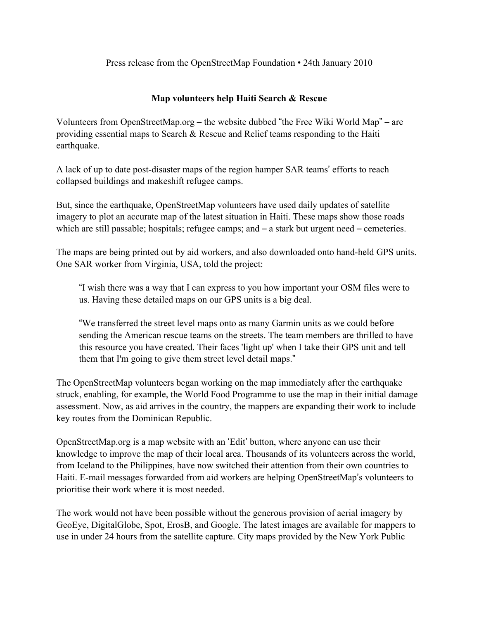Press release from the OpenStreetMap Foundation • 24th January 2010

# **Map volunteers help Haiti Search & Rescue**

Volunteers from OpenStreetMap.org – the website dubbed "the Free Wiki World Map" – are providing essential maps to Search & Rescue and Relief teams responding to the Haiti earthquake.

A lack of up to date post-disaster maps of the region hamper SAR teams' efforts to reach collapsed buildings and makeshift refugee camps.

But, since the earthquake, OpenStreetMap volunteers have used daily updates of satellite imagery to plot an accurate map of the latest situation in Haiti. These maps show those roads which are still passable; hospitals; refugee camps; and  $-$  a stark but urgent need  $-$  cemeteries.

The maps are being printed out by aid workers, and also downloaded onto hand-held GPS units. One SAR worker from Virginia, USA, told the project:

"I wish there was a way that I can express to you how important your OSM files were to us. Having these detailed maps on our GPS units is a big deal.

"We transferred the street level maps onto as many Garmin units as we could before sending the American rescue teams on the streets. The team members are thrilled to have this resource you have created. Their faces 'light up' when I take their GPS unit and tell them that I'm going to give them street level detail maps."

The OpenStreetMap volunteers began working on the map immediately after the earthquake struck, enabling, for example, the World Food Programme to use the map in their initial damage assessment. Now, as aid arrives in the country, the mappers are expanding their work to include key routes from the Dominican Republic.

OpenStreetMap.org is a map website with an 'Edit' button, where anyone can use their knowledge to improve the map of their local area. Thousands of its volunteers across the world, from Iceland to the Philippines, have now switched their attention from their own countries to Haiti. E-mail messages forwarded from aid workers are helping OpenStreetMap's volunteers to prioritise their work where it is most needed.

The work would not have been possible without the generous provision of aerial imagery by GeoEye, DigitalGlobe, Spot, ErosB, and Google. The latest images are available for mappers to use in under 24 hours from the satellite capture. City maps provided by the New York Public